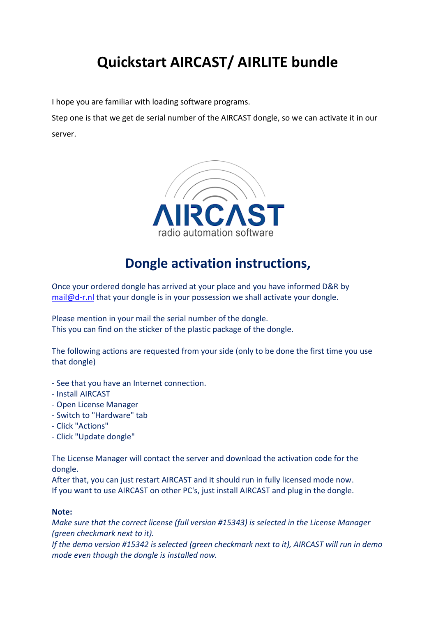## **Quickstart AIRCAST/ AIRLITE bundle**

I hope you are familiar with loading software programs.

Step one is that we get de serial number of the AIRCAST dongle, so we can activate it in our server.



## **Dongle activation instructions,**

Once your ordered dongle has arrived at your place and you have informed D&R by [mail@d-r.nl](mailto:mail@d-r.nl) that your dongle is in your possession we shall activate your dongle.

Please mention in your mail the serial number of the dongle. This you can find on the sticker of the plastic package of the dongle.

The following actions are requested from your side (only to be done the first time you use that dongle)

- See that you have an Internet connection.
- Install AIRCAST
- Open License Manager
- Switch to "Hardware" tab
- Click "Actions"
- Click "Update dongle"

The License Manager will contact the server and download the activation code for the dongle.

After that, you can just restart AIRCAST and it should run in fully licensed mode now. If you want to use AIRCAST on other PC's, just install AIRCAST and plug in the dongle.

## **Note:**

*Make sure that the correct license (full version #15343) is selected in the License Manager (green checkmark next to it).*

*If the demo version #15342 is selected (green checkmark next to it), AIRCAST will run in demo mode even though the dongle is installed now.*